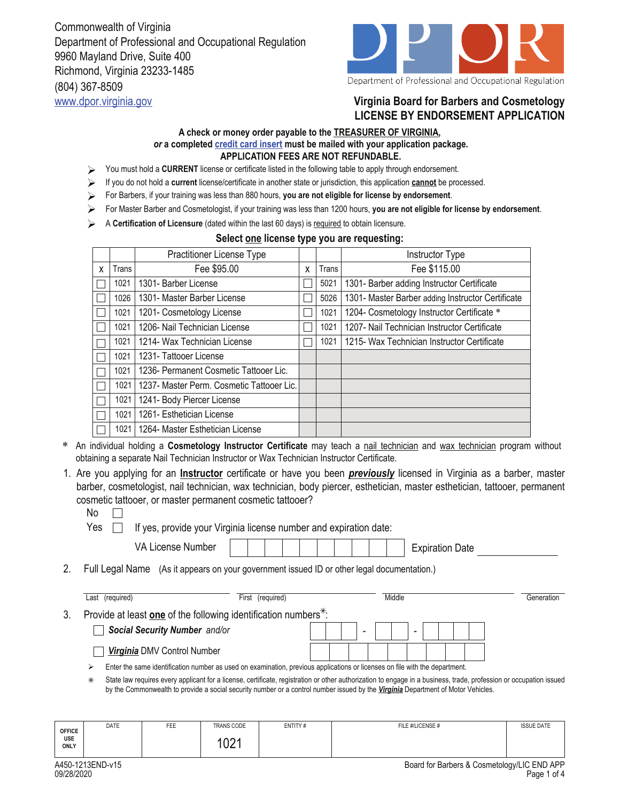Commonwealth of Virginia Department of Professional and Occupational Regulation 9960 Mayland Drive, Suite 400 Richmond, Virginia 23233-1485 (804) 367-8509



## www.dpor.virginia.gov **Virginia Board for Barbers and Cosmetology LICENSE BY ENDORSEMENT APPLICATION**

## **A check or money order payable to the TREASURER OF VIRGINIA,**  *or* **a completed credit card insert must be mailed with your application package. APPLICATION FEES ARE NOT REFUNDABLE.**

- You must hold a **CURRENT** license or certificate listed in the following table to apply through endorsement. ↘
- If you do not hold a **current** license/certificate in another state or jurisdiction, this application **cannot** be processed.
- For Barbers, if your training was less than 880 hours, **you are not eligible for license by endorsement**.
- For Master Barber and Cosmetologist, if your training was less than 1200 hours, **you are not eligible for license by endorsement**.
- A **Certification of Licensure** (dated within the last 60 days) is required to obtain licensure.

## **Select one license type you are requesting:**

|   |       | <b>Practitioner License Type</b>          |   |       | Instructor Type                                   |
|---|-------|-------------------------------------------|---|-------|---------------------------------------------------|
| X | Trans | Fee \$95.00                               | X | Trans | Fee \$115.00                                      |
|   | 1021  | 1301- Barber License                      |   | 5021  | 1301- Barber adding Instructor Certificate        |
|   | 1026  | 1301- Master Barber License               |   | 5026  | 1301- Master Barber adding Instructor Certificate |
|   | 1021  | 1201- Cosmetology License                 |   | 1021  | 1204- Cosmetology Instructor Certificate *        |
|   | 1021  | 1206- Nail Technician License             |   | 1021  | 1207- Nail Technician Instructor Certificate      |
|   | 1021  | 1214- Wax Technician License              |   | 1021  | 1215- Wax Technician Instructor Certificate       |
|   | 1021  | 1231- Tattooer License                    |   |       |                                                   |
|   | 1021  | 1236- Permanent Cosmetic Tattooer Lic.    |   |       |                                                   |
|   | 1021  | 1237- Master Perm. Cosmetic Tattooer Lic. |   |       |                                                   |
|   | 1021  | 1241- Body Piercer License                |   |       |                                                   |
|   | 1021  | 1261- Esthetician License                 |   |       |                                                   |
|   | 1021  | 1264- Master Esthetician License          |   |       |                                                   |

- \* An individual holding a **Cosmetology Instructor Certificate** may teach a nail technician and wax technician program without obtaining a separate Nail Technician Instructor or Wax Technician Instructor Certificate.
- 1. Are you applying for an *Instructor* certificate or have you been *previously* licensed in Virginia as a barber, master barber, cosmetologist, nail technician, wax technician, body piercer, esthetician, master esthetician, tattooer, permanent cosmetic tattooer, or master permanent cosmetic tattooer?
	- No  $\Box$

Yes  $\Box$  If yes, provide your Virginia license number and expiration date:

| VA License Number                                                                          |  |                  |  |  |  |  |  |   |  |        | <b>Expiration Date</b> |            |
|--------------------------------------------------------------------------------------------|--|------------------|--|--|--|--|--|---|--|--------|------------------------|------------|
| Full Legal Name (As it appears on your government issued ID or other legal documentation.) |  |                  |  |  |  |  |  |   |  |        |                        |            |
| Last (required)                                                                            |  | First (required) |  |  |  |  |  |   |  | Middle |                        | Generation |
| Provide at least one of the following identification numbers <sup>*</sup> :                |  |                  |  |  |  |  |  |   |  |        |                        |            |
| <b>Social Security Number</b> and/or                                                       |  |                  |  |  |  |  |  | - |  |        |                        |            |

*Virginia* DMV Control Number

Enter the same identification number as used on examination, previous applications or licenses on file with the department.

State law requires every applicant for a license, certificate, registration or other authorization to engage in a business, trade, profession or occupation issued by the Commonwealth to provide a social security number or a control number issued by the *Virginia* Department of Motor Vehicles.  $\ast$ 

|                              | DATE | FEE | <b>TRANS CODE</b>           | ENTITY# | FILE #/LICENSE # | <b>ISSUE DATE</b> |
|------------------------------|------|-----|-----------------------------|---------|------------------|-------------------|
| <b>OFFICE</b><br>USE<br>ONLY |      |     | $\bigcap$<br>$\overline{U}$ |         |                  |                   |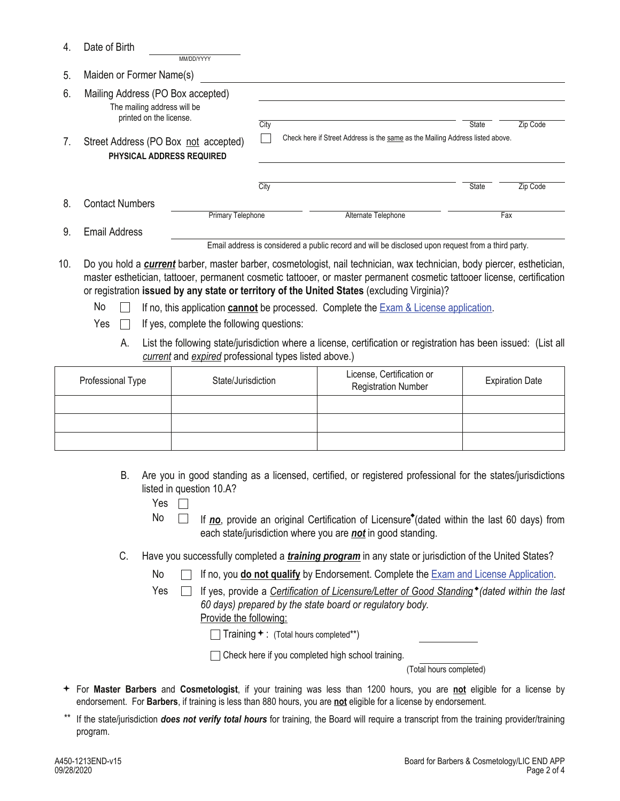| 4.  | Date of Birth                                                                               |                                           |      |                                                                                                                                                                                                                                                                                                                                                                                                                                                   |              |          |
|-----|---------------------------------------------------------------------------------------------|-------------------------------------------|------|---------------------------------------------------------------------------------------------------------------------------------------------------------------------------------------------------------------------------------------------------------------------------------------------------------------------------------------------------------------------------------------------------------------------------------------------------|--------------|----------|
| 5.  | MM/DD/YYYY<br>Maiden or Former Name(s)                                                      |                                           |      |                                                                                                                                                                                                                                                                                                                                                                                                                                                   |              |          |
| 6.  | Mailing Address (PO Box accepted)<br>The mailing address will be<br>printed on the license. |                                           | City |                                                                                                                                                                                                                                                                                                                                                                                                                                                   | <b>State</b> | Zip Code |
| 7.  | Street Address (PO Box not accepted)<br>PHYSICAL ADDRESS REQUIRED                           |                                           |      | Check here if Street Address is the same as the Mailing Address listed above.                                                                                                                                                                                                                                                                                                                                                                     |              |          |
|     |                                                                                             |                                           | City |                                                                                                                                                                                                                                                                                                                                                                                                                                                   | <b>State</b> | Zip Code |
| 8.  | <b>Contact Numbers</b>                                                                      | Primary Telephone                         |      | Alternate Telephone                                                                                                                                                                                                                                                                                                                                                                                                                               |              | Fax      |
| 9.  | <b>Email Address</b>                                                                        |                                           |      |                                                                                                                                                                                                                                                                                                                                                                                                                                                   |              |          |
|     |                                                                                             |                                           |      | Email address is considered a public record and will be disclosed upon request from a third party.                                                                                                                                                                                                                                                                                                                                                |              |          |
| 10. | No<br>Yes                                                                                   | If yes, complete the following questions: |      | Do you hold a <i>current</i> barber, master barber, cosmetologist, nail technician, wax technician, body piercer, esthetician,<br>master esthetician, tattooer, permanent cosmetic tattooer, or master permanent cosmetic tattooer license, certification<br>or registration issued by any state or territory of the United States (excluding Virginia)?<br>If no, this application cannot be processed. Complete the Exam & License application. |              |          |

A. List the following state/jurisdiction where a license, certification or registration has been issued: (List all *current* and *expired* professional types listed above.)

| Professional Type | State/Jurisdiction | License, Certification or<br><b>Registration Number</b> | <b>Expiration Date</b> |
|-------------------|--------------------|---------------------------------------------------------|------------------------|
|                   |                    |                                                         |                        |
|                   |                    |                                                         |                        |
|                   |                    |                                                         |                        |

B. Are you in good standing as a licensed, certified, or registered professional for the states/jurisdictions listed in question 10.A?

- No  $\Box$  If *no*, provide an original Certification of Licensure<sup>\*</sup> (dated within the last 60 days) from each state/jurisdiction where you are *not* in good standing.
- C. Have you successfully completed a *training program* in any state or jurisdiction of the United States?
	- No If no, you **do not qualify** by Endorsement. Complete the Exam and License Application.
	- Yes  $\Box$  If yes, provide a *Certification of Licensure/Letter of Good Standing* \* (dated within the last *60 days) prepared by the state board or regulatory body.*  Provide the following:
		- $\Box$  Training  $\div$  : (Total hours completed\*\*)

Theck here if you completed high school training.

(Total hours completed)

- For **Master Barbers** and **Cosmetologist**, if your training was less than 1200 hours, you are **not** eligible for a license by endorsement. For **Barbers**, if training is less than 880 hours, you are **not** eligible for a license by endorsement.
- If the state/jurisdiction *does not verify total hours* for training, the Board will require a transcript from the training provider/training program.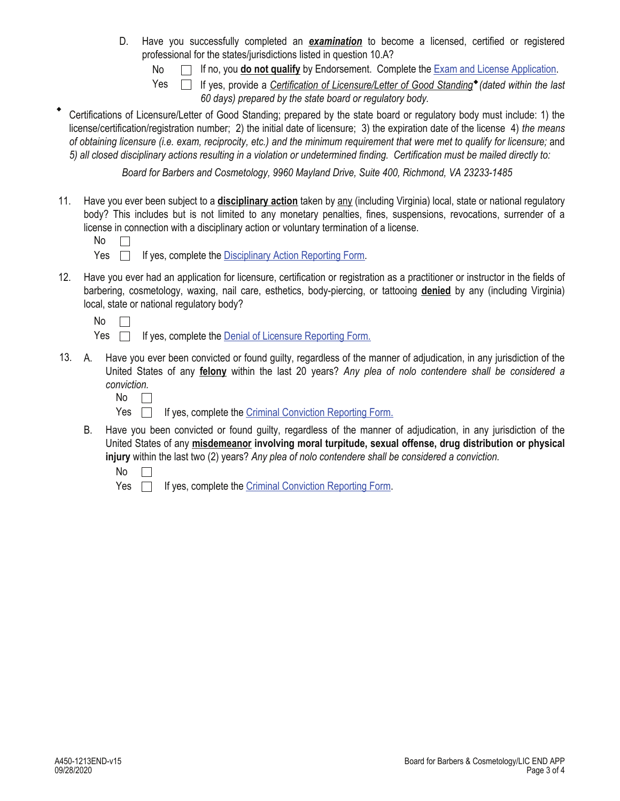- D. Have you successfully completed an *examination* to become a licensed, certified or registered professional for the states/jurisdictions listed in question 10.A?
	- No  $\Box$  If no, you **do not qualify** by Endorsement. Complete the Exam and License Application.

Yes  $\Box$  If yes, provide a *Certification of Licensure/Letter of Good Standing*<sup>\*</sup> (dated within the last

- *60 days) prepared by the state board or regulatory body.*
- Certifications of Licensure/Letter of Good Standing; prepared by the state board or regulatory body must include: 1) the license/certification/registration number; 2) the initial date of licensure; 3) the expiration date of the license 4) *the means of obtaining licensure (i.e. exam, reciprocity, etc.) and the minimum requirement that were met to qualify for licensure;* and *5) all closed disciplinary actions resulting in a violation or undetermined finding. Certification must be mailed directly to:*

*Board for Barbers and Cosmetology, 9960 Mayland Drive, Suite 400, Richmond, VA 23233-1485*

11. Have you ever been subject to a **disciplinary action** taken by any (including Virginia) local, state or national regulatory body? This includes but is not limited to any monetary penalties, fines, suspensions, revocations, surrender of a license in connection with a disciplinary action or voluntary termination of a license.

- Yes  $\Box$  If yes, complete the Disciplinary Action Reporting Form.
- 12. Have you ever had an application for licensure, certification or registration as a practitioner or instructor in the fields of barbering, cosmetology, waxing, nail care, esthetics, body-piercing, or tattooing **denied** by any (including Virginia) local, state or national regulatory body?
	- $No \Box$
	- Yes  $\Box$  If yes, complete the Denial of Licensure Reporting Form.
- Have you ever been convicted or found guilty, regardless of the manner of adjudication, in any jurisdiction of the United States of any **felony** within the last 20 years? *Any plea of nolo contendere shall be considered a conviction.* 13.
	- No  $\Box$
	- Yes  $\Box$ If yes, complete the Criminal Conviction Reporting Form.
	- B. Have you been convicted or found guilty, regardless of the manner of adjudication, in any jurisdiction of the United States of any **misdemeanor involving moral turpitude, sexual offense, drug distribution or physical injury** within the last two (2) years? *Any plea of nolo contendere shall be considered a conviction.*
		- No  $\Box$
		- Yes **If yes, complete the Criminal Conviction Reporting Form.**